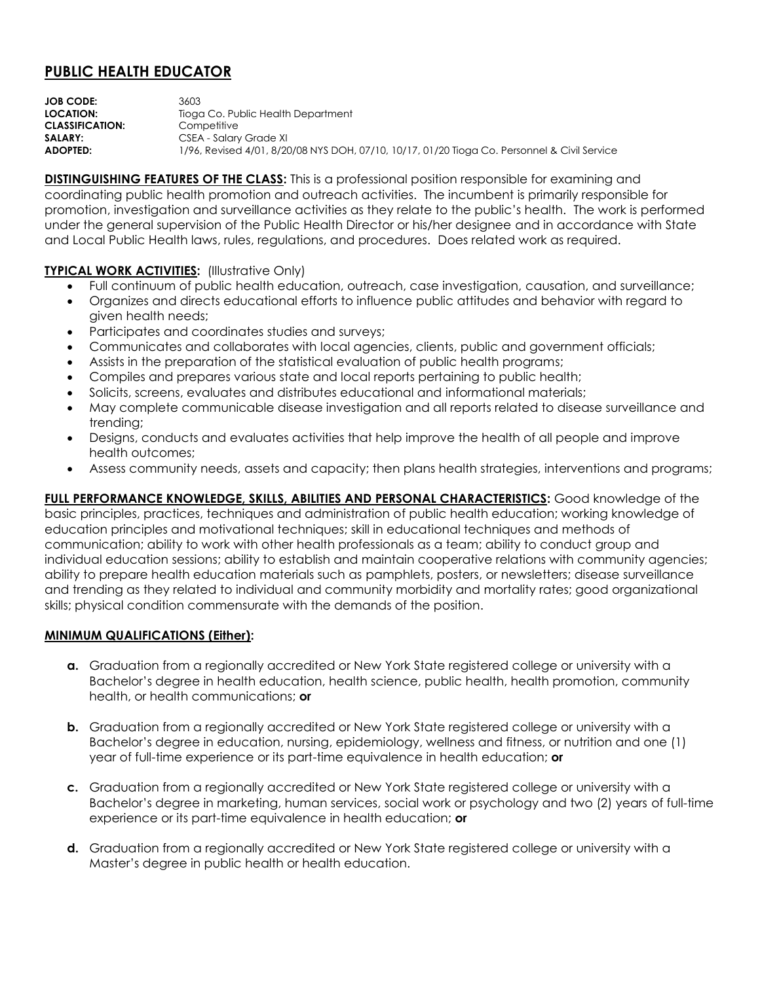## **PUBLIC HEALTH EDUCATOR**

**JOB CODE:** 3603 **LOCATION:** Tioga Co. Public Health Department **CLASSIFICATION:** Competitive **SALARY:** CSEA - Salary Grade XI **ADOPTED:** 1/96, Revised 4/01, 8/20/08 NYS DOH, 07/10, 10/17, 01/20 Tioga Co. Personnel & Civil Service

**DISTINGUISHING FEATURES OF THE CLASS:** This is a professional position responsible for examining and coordinating public health promotion and outreach activities. The incumbent is primarily responsible for promotion, investigation and surveillance activities as they relate to the public's health. The work is performed under the general supervision of the Public Health Director or his/her designee and in accordance with State and Local Public Health laws, rules, regulations, and procedures. Does related work as required.

## **TYPICAL WORK ACTIVITIES: (Illustrative Only)**

- Full continuum of public health education, outreach, case investigation, causation, and surveillance;
- Organizes and directs educational efforts to influence public attitudes and behavior with regard to given health needs;
- Participates and coordinates studies and surveys;
- Communicates and collaborates with local agencies, clients, public and government officials;
- Assists in the preparation of the statistical evaluation of public health programs;
- Compiles and prepares various state and local reports pertaining to public health;
- Solicits, screens, evaluates and distributes educational and informational materials;
- May complete communicable disease investigation and all reports related to disease surveillance and trending;
- Designs, conducts and evaluates activities that help improve the health of all people and improve health outcomes;
- Assess community needs, assets and capacity; then plans health strategies, interventions and programs;

**FULL PERFORMANCE KNOWLEDGE, SKILLS, ABILITIES AND PERSONAL CHARACTERISTICS:** Good knowledge of the basic principles, practices, techniques and administration of public health education; working knowledge of education principles and motivational techniques; skill in educational techniques and methods of communication; ability to work with other health professionals as a team; ability to conduct group and individual education sessions; ability to establish and maintain cooperative relations with community agencies; ability to prepare health education materials such as pamphlets, posters, or newsletters; disease surveillance and trending as they related to individual and community morbidity and mortality rates; good organizational skills; physical condition commensurate with the demands of the position.

## **MINIMUM QUALIFICATIONS (Either):**

- **a.** Graduation from a regionally accredited or New York State registered college or university with a Bachelor's degree in health education, health science, public health, health promotion, community health, or health communications; **or**
- **b.** Graduation from a regionally accredited or New York State registered college or university with a Bachelor's degree in education, nursing, epidemiology, wellness and fitness, or nutrition and one (1) year of full-time experience or its part-time equivalence in health education; **or**
- **c.** Graduation from a regionally accredited or New York State registered college or university with a Bachelor's degree in marketing, human services, social work or psychology and two (2) years of full-time experience or its part-time equivalence in health education; **or**
- **d.** Graduation from a regionally accredited or New York State registered college or university with a Master's degree in public health or health education.